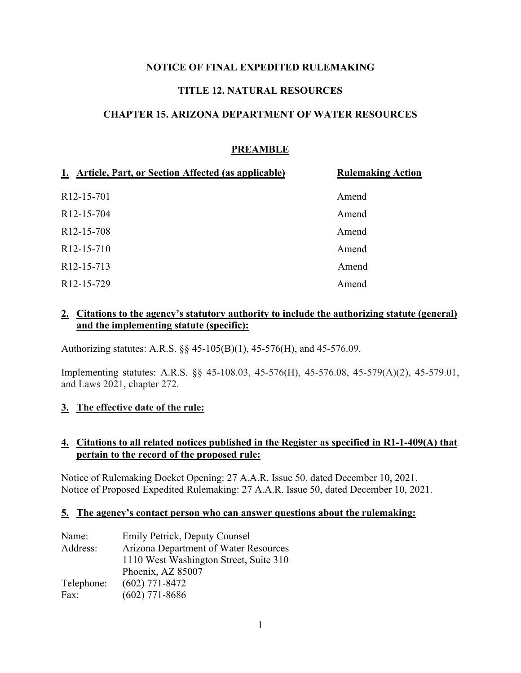## **NOTICE OF FINAL EXPEDITED RULEMAKING**

## **TITLE 12. NATURAL RESOURCES**

### **CHAPTER 15. ARIZONA DEPARTMENT OF WATER RESOURCES**

## **PREAMBLE**

| 1. Article, Part, or Section Affected (as applicable) | <b>Rulemaking Action</b> |
|-------------------------------------------------------|--------------------------|
| R <sub>12</sub> -15-701                               | Amend                    |
| R <sub>12</sub> -15-704                               | Amend                    |
| R <sub>12</sub> -15-708                               | Amend                    |
| R <sub>12</sub> -15-710                               | Amend                    |
| R <sub>12</sub> -15-713                               | Amend                    |
| R <sub>12</sub> -15-729                               | Amend                    |

### **2. Citations to the agency's statutory authority to include the authorizing statute (general) and the implementing statute (specific):**

Authorizing statutes: A.R.S. §§ 45-105(B)(1), 45-576(H), and 45-576.09.

Implementing statutes: A.R.S. §§ 45-108.03, 45-576(H), 45-576.08, 45-579(A)(2), 45-579.01, and Laws 2021, chapter 272.

### **3. The effective date of the rule:**

#### **4. Citations to all related notices published in the Register as specified in R1-1-409(A) that pertain to the record of the proposed rule:**

Notice of Rulemaking Docket Opening: 27 A.A.R. Issue 50, dated December 10, 2021. Notice of Proposed Expedited Rulemaking: 27 A.A.R. Issue 50, dated December 10, 2021.

#### **5. The agency's contact person who can answer questions about the rulemaking:**

| Name:      | <b>Emily Petrick, Deputy Counsel</b>   |  |
|------------|----------------------------------------|--|
| Address:   | Arizona Department of Water Resources  |  |
|            | 1110 West Washington Street, Suite 310 |  |
|            | Phoenix, AZ 85007                      |  |
| Telephone: | $(602)$ 771-8472                       |  |
| Fax:       | $(602)$ 771-8686                       |  |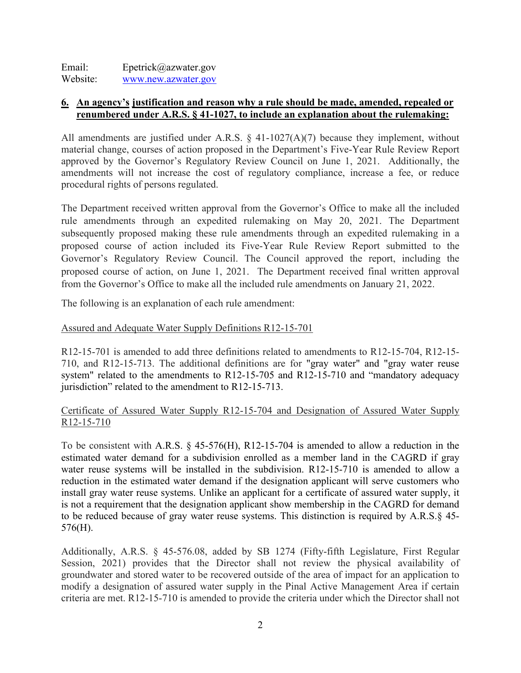Email: Epetrick@azwater.gov Website: [www.new.azwater.gov](http://www.new.azwater.gov/)

### **6. An agency's justification and reason why a rule should be made, amended, repealed or renumbered under A.R.S. § 41-1027, to include an explanation about the rulemaking:**

All amendments are justified under A.R.S.  $\S$  41-1027(A)(7) because they implement, without material change, courses of action proposed in the Department's Five-Year Rule Review Report approved by the Governor's Regulatory Review Council on June 1, 2021. Additionally, the amendments will not increase the cost of regulatory compliance, increase a fee, or reduce procedural rights of persons regulated.

The Department received written approval from the Governor's Office to make all the included rule amendments through an expedited rulemaking on May 20, 2021. The Department subsequently proposed making these rule amendments through an expedited rulemaking in a proposed course of action included its Five-Year Rule Review Report submitted to the Governor's Regulatory Review Council. The Council approved the report, including the proposed course of action, on June 1, 2021. The Department received final written approval from the Governor's Office to make all the included rule amendments on January 21, 2022.

The following is an explanation of each rule amendment:

## Assured and Adequate Water Supply Definitions R12-15-701

R12-15-701 is amended to add three definitions related to amendments to R12-15-704, R12-15- 710, and R12-15-713. The additional definitions are for "gray water" and "gray water reuse system" related to the amendments to R12-15-705 and R12-15-710 and "mandatory adequacy jurisdiction" related to the amendment to R12-15-713.

### Certificate of Assured Water Supply R12-15-704 and Designation of Assured Water Supply R12-15-710

To be consistent with A.R.S. § 45-576(H), R12-15-704 is amended to allow a reduction in the estimated water demand for a subdivision enrolled as a member land in the CAGRD if gray water reuse systems will be installed in the subdivision. R12-15-710 is amended to allow a reduction in the estimated water demand if the designation applicant will serve customers who install gray water reuse systems. Unlike an applicant for a certificate of assured water supply, it is not a requirement that the designation applicant show membership in the CAGRD for demand to be reduced because of gray water reuse systems. This distinction is required by A.R.S.§ 45- 576(H).

Additionally, A.R.S. § 45-576.08, added by SB 1274 (Fifty-fifth Legislature, First Regular Session, 2021) provides that the Director shall not review the physical availability of groundwater and stored water to be recovered outside of the area of impact for an application to modify a designation of assured water supply in the Pinal Active Management Area if certain criteria are met. R12-15-710 is amended to provide the criteria under which the Director shall not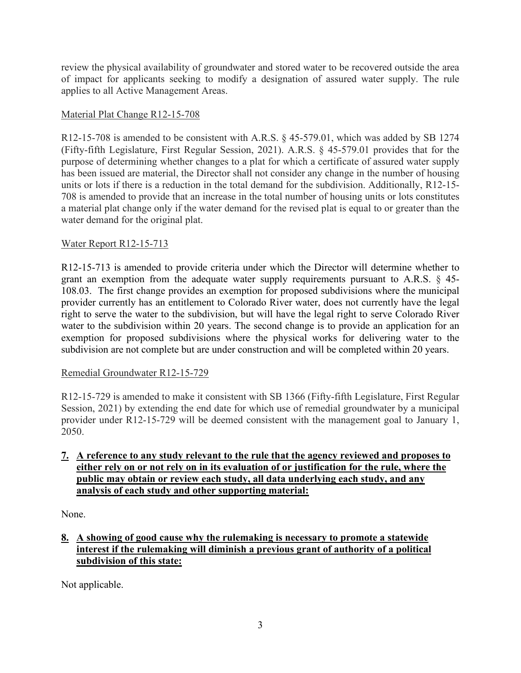review the physical availability of groundwater and stored water to be recovered outside the area of impact for applicants seeking to modify a designation of assured water supply. The rule applies to all Active Management Areas.

## Material Plat Change R12-15-708

R12-15-708 is amended to be consistent with A.R.S. § 45-579.01, which was added by SB 1274 (Fifty-fifth Legislature, First Regular Session, 2021). A.R.S. § 45-579.01 provides that for the purpose of determining whether changes to a plat for which a certificate of assured water supply has been issued are material, the Director shall not consider any change in the number of housing units or lots if there is a reduction in the total demand for the subdivision. Additionally, R12-15- 708 is amended to provide that an increase in the total number of housing units or lots constitutes a material plat change only if the water demand for the revised plat is equal to or greater than the water demand for the original plat.

# Water Report R12-15-713

R12-15-713 is amended to provide criteria under which the Director will determine whether to grant an exemption from the adequate water supply requirements pursuant to A.R.S. § 45- 108.03. The first change provides an exemption for proposed subdivisions where the municipal provider currently has an entitlement to Colorado River water, does not currently have the legal right to serve the water to the subdivision, but will have the legal right to serve Colorado River water to the subdivision within 20 years. The second change is to provide an application for an exemption for proposed subdivisions where the physical works for delivering water to the subdivision are not complete but are under construction and will be completed within 20 years.

## Remedial Groundwater R12-15-729

R12-15-729 is amended to make it consistent with SB 1366 (Fifty-fifth Legislature, First Regular Session, 2021) by extending the end date for which use of remedial groundwater by a municipal provider under R12-15-729 will be deemed consistent with the management goal to January 1, 2050.

## **7. A reference to any study relevant to the rule that the agency reviewed and proposes to either rely on or not rely on in its evaluation of or justification for the rule, where the public may obtain or review each study, all data underlying each study, and any analysis of each study and other supporting material:**

None.

# **8. A showing of good cause why the rulemaking is necessary to promote a statewide interest if the rulemaking will diminish a previous grant of authority of a political subdivision of this state:**

Not applicable.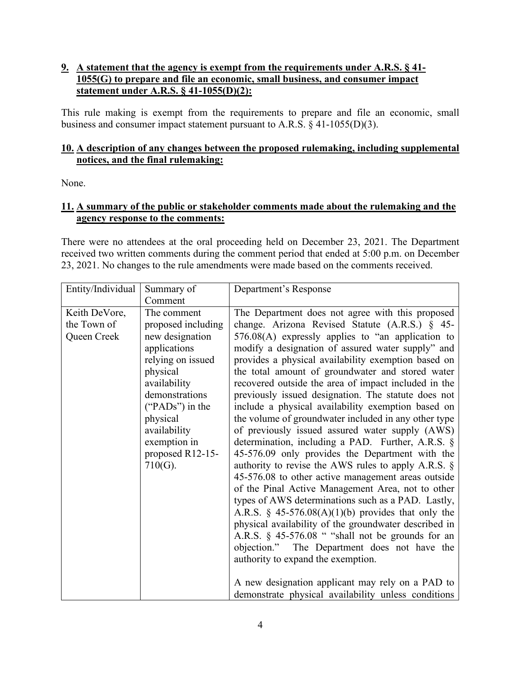## **9. A statement that the agency is exempt from the requirements under A.R.S. § 41- 1055(G) to prepare and file an economic, small business, and consumer impact statement under A.R.S. § 41-1055(D)(2):**

This rule making is exempt from the requirements to prepare and file an economic, small business and consumer impact statement pursuant to A.R.S.  $\S$  41-1055(D)(3).

## **10. A description of any changes between the proposed rulemaking, including supplemental notices, and the final rulemaking:**

None.

### **11. A summary of the public or stakeholder comments made about the rulemaking and the agency response to the comments:**

There were no attendees at the oral proceeding held on December 23, 2021. The Department received two written comments during the comment period that ended at 5:00 p.m. on December 23, 2021. No changes to the rule amendments were made based on the comments received.

| Entity/Individual | Summary of                                                                                                                                                                                          | Department's Response                                                                                                                                                                                                                                                                                                                                                                                                                                                                                                                                                                                                                                                                                                                                                                                                                                                                                                                                                                                                                                                                                                                                |
|-------------------|-----------------------------------------------------------------------------------------------------------------------------------------------------------------------------------------------------|------------------------------------------------------------------------------------------------------------------------------------------------------------------------------------------------------------------------------------------------------------------------------------------------------------------------------------------------------------------------------------------------------------------------------------------------------------------------------------------------------------------------------------------------------------------------------------------------------------------------------------------------------------------------------------------------------------------------------------------------------------------------------------------------------------------------------------------------------------------------------------------------------------------------------------------------------------------------------------------------------------------------------------------------------------------------------------------------------------------------------------------------------|
|                   | Comment                                                                                                                                                                                             |                                                                                                                                                                                                                                                                                                                                                                                                                                                                                                                                                                                                                                                                                                                                                                                                                                                                                                                                                                                                                                                                                                                                                      |
| Keith DeVore,     | The comment                                                                                                                                                                                         | The Department does not agree with this proposed                                                                                                                                                                                                                                                                                                                                                                                                                                                                                                                                                                                                                                                                                                                                                                                                                                                                                                                                                                                                                                                                                                     |
| the Town of       | proposed including                                                                                                                                                                                  | change. Arizona Revised Statute (A.R.S.) § 45-                                                                                                                                                                                                                                                                                                                                                                                                                                                                                                                                                                                                                                                                                                                                                                                                                                                                                                                                                                                                                                                                                                       |
| Queen Creek       | new designation<br>applications<br>relying on issued<br>physical<br>availability<br>demonstrations<br>("PADs") in the<br>physical<br>availability<br>exemption in<br>proposed R12-15-<br>$710(G)$ . | $576.08(A)$ expressly applies to "an application to<br>modify a designation of assured water supply" and<br>provides a physical availability exemption based on<br>the total amount of groundwater and stored water<br>recovered outside the area of impact included in the<br>previously issued designation. The statute does not<br>include a physical availability exemption based on<br>the volume of groundwater included in any other type<br>of previously issued assured water supply (AWS)<br>determination, including a PAD. Further, A.R.S. §<br>45-576.09 only provides the Department with the<br>authority to revise the AWS rules to apply A.R.S. $\S$<br>45-576.08 to other active management areas outside<br>of the Pinal Active Management Area, not to other<br>types of AWS determinations such as a PAD. Lastly,<br>A.R.S. § 45-576.08(A)(1)(b) provides that only the<br>physical availability of the groundwater described in<br>A.R.S. § 45-576.08 " "shall not be grounds for an<br>objection." The Department does not have the<br>authority to expand the exemption.<br>A new designation applicant may rely on a PAD to |
|                   |                                                                                                                                                                                                     | demonstrate physical availability unless conditions                                                                                                                                                                                                                                                                                                                                                                                                                                                                                                                                                                                                                                                                                                                                                                                                                                                                                                                                                                                                                                                                                                  |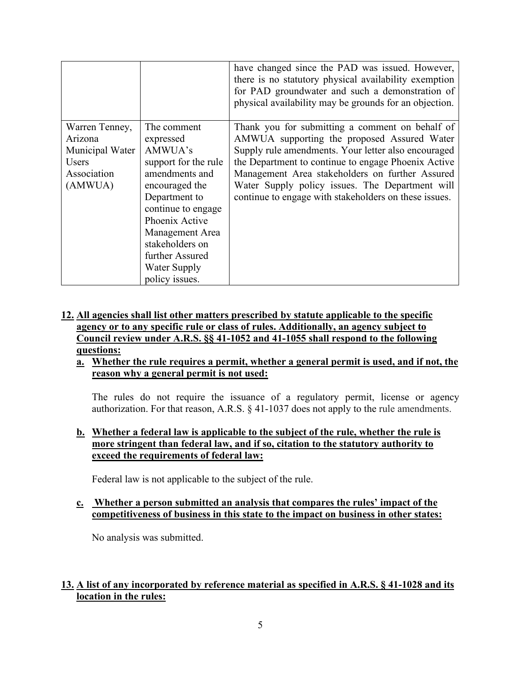|                 |                      | have changed since the PAD was issued. However,<br>there is no statutory physical availability exemption<br>for PAD groundwater and such a demonstration of<br>physical availability may be grounds for an objection. |
|-----------------|----------------------|-----------------------------------------------------------------------------------------------------------------------------------------------------------------------------------------------------------------------|
| Warren Tenney,  | The comment          | Thank you for submitting a comment on behalf of                                                                                                                                                                       |
| Arizona         | expressed            | AMWUA supporting the proposed Assured Water                                                                                                                                                                           |
| Municipal Water | AMWUA's              | Supply rule amendments. Your letter also encouraged                                                                                                                                                                   |
| <b>Users</b>    | support for the rule | the Department to continue to engage Phoenix Active                                                                                                                                                                   |
| Association     | amendments and       | Management Area stakeholders on further Assured                                                                                                                                                                       |
| (AMWUA)         | encouraged the       | Water Supply policy issues. The Department will                                                                                                                                                                       |
|                 | Department to        | continue to engage with stakeholders on these issues.                                                                                                                                                                 |
|                 | continue to engage   |                                                                                                                                                                                                                       |
|                 | Phoenix Active       |                                                                                                                                                                                                                       |
|                 | Management Area      |                                                                                                                                                                                                                       |
|                 | stakeholders on      |                                                                                                                                                                                                                       |
|                 | further Assured      |                                                                                                                                                                                                                       |
|                 | Water Supply         |                                                                                                                                                                                                                       |
|                 | policy issues.       |                                                                                                                                                                                                                       |

# **12. All agencies shall list other matters prescribed by statute applicable to the specific agency or to any specific rule or class of rules. Additionally, an agency subject to Council review under A.R.S. §§ 41-1052 and 41-1055 shall respond to the following questions:**

#### **a. Whether the rule requires a permit, whether a general permit is used, and if not, the reason why a general permit is not used:**

The rules do not require the issuance of a regulatory permit, license or agency authorization. For that reason, A.R.S. § 41-1037 does not apply to the rule amendments.

### **b. Whether a federal law is applicable to the subject of the rule, whether the rule is more stringent than federal law, and if so, citation to the statutory authority to exceed the requirements of federal law:**

Federal law is not applicable to the subject of the rule.

### **c. Whether a person submitted an analysis that compares the rules' impact of the competitiveness of business in this state to the impact on business in other states:**

No analysis was submitted.

# **13. A list of any incorporated by reference material as specified in A.R.S. § 41-1028 and its location in the rules:**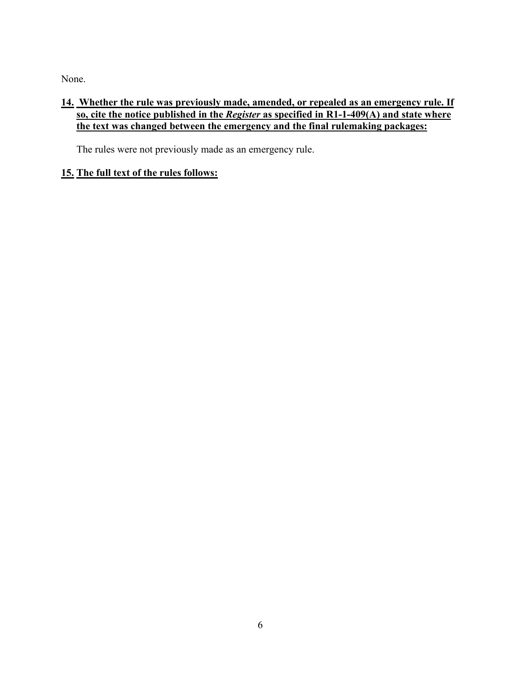None.

# **14. Whether the rule was previously made, amended, or repealed as an emergency rule. If so, cite the notice published in the** *Register* **as specified in R1-1-409(A) and state where the text was changed between the emergency and the final rulemaking packages:**

The rules were not previously made as an emergency rule.

# **15. The full text of the rules follows:**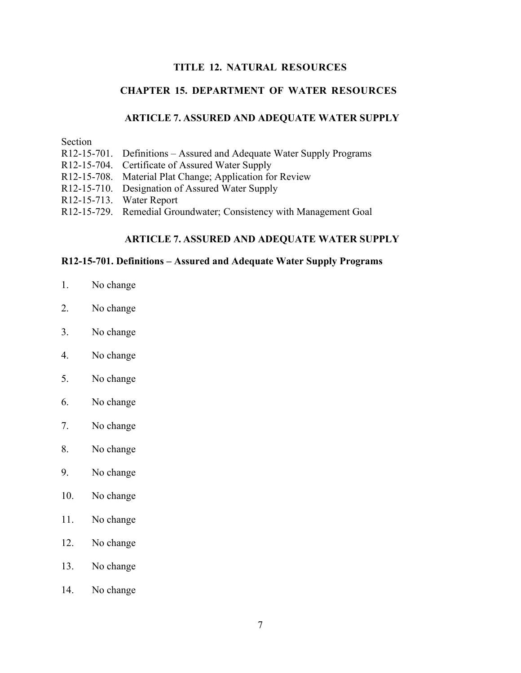### **TITLE 12. NATURAL RESOURCES**

### **CHAPTER 15. DEPARTMENT OF WATER RESOURCES**

#### **ARTICLE 7. ASSURED AND ADEQUATE WATER SUPPLY**

Section

- R12-15-701. Definitions Assured and Adequate Water Supply Programs
- R12-15-704. Certificate of Assured Water Supply
- R12-15-708. Material Plat Change; Application for Review
- R12-15-710. Designation of Assured Water Supply
- R12-15-713. Water Report
- R12-15-729. Remedial Groundwater; Consistency with Management Goal

## **ARTICLE 7. ASSURED AND ADEQUATE WATER SUPPLY**

#### **R12-15-701. Definitions – Assured and Adequate Water Supply Programs**

- 1. No change
- 2. No change
- 3. No change
- 4. No change
- 5. No change
- 6. No change
- 7. No change
- 8. No change
- 9. No change
- 10. No change
- 11. No change
- 12. No change
- 13. No change
- 14. No change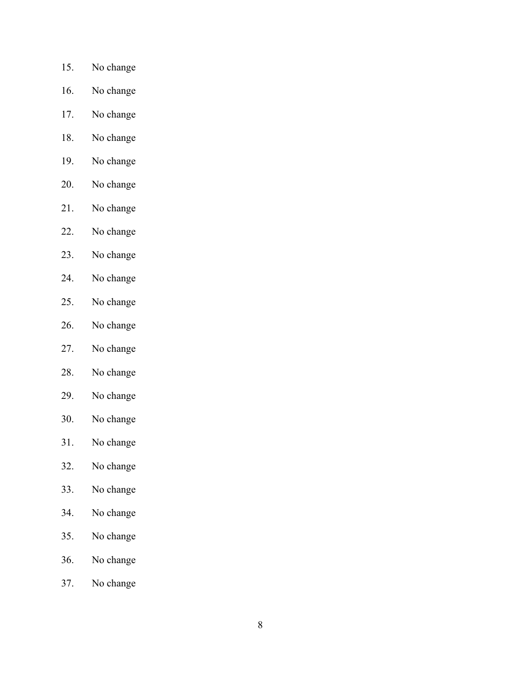- 15. No change
- 16. No change
- 17. No change
- 18. No change
- 19. No change
- 20. No change
- 21. No change
- 22. No change
- 23. No change
- 24. No change
- 25. No change
- 26. No change
- 27. No change
- 28. No change
- 29. No change
- 30. No change
- 31. No change
- 32. No change
- 33. No change
- 34. No change
- 35. No change
- 36. No change
- 37. No change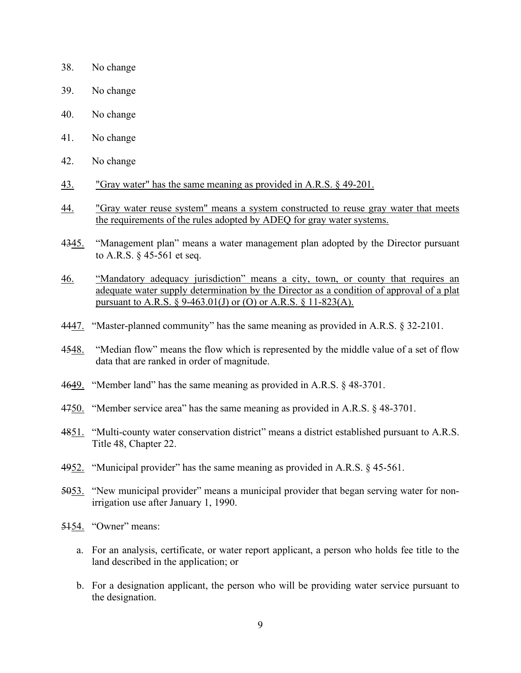- 38. No change
- 39. No change
- 40. No change
- 41. No change
- 42. No change
- 43. "Gray water" has the same meaning as provided in A.R.S. § 49-201.
- 44. "Gray water reuse system" means a system constructed to reuse gray water that meets the requirements of the rules adopted by ADEQ for gray water systems.
- 4345. "Management plan" means a water management plan adopted by the Director pursuant to A.R.S. § 45-561 et seq.
- 46. "Mandatory adequacy jurisdiction" means a city, town, or county that requires an adequate water supply determination by the Director as a condition of approval of a plat pursuant to A.R.S. § 9-463.01(J) or (O) or A.R.S. § 11-823(A).
- 4447. "Master-planned community" has the same meaning as provided in A.R.S. § 32-2101.
- 4548. "Median flow" means the flow which is represented by the middle value of a set of flow data that are ranked in order of magnitude.
- 4649. "Member land" has the same meaning as provided in A.R.S. § 48-3701.
- 4750. "Member service area" has the same meaning as provided in A.R.S. § 48-3701.
- 4851. "Multi-county water conservation district" means a district established pursuant to A.R.S. Title 48, Chapter 22.
- 4952. "Municipal provider" has the same meaning as provided in A.R.S. § 45-561.
- 5053. "New municipal provider" means a municipal provider that began serving water for nonirrigation use after January 1, 1990.
- 5154. "Owner" means:
	- a. For an analysis, certificate, or water report applicant, a person who holds fee title to the land described in the application; or
	- b. For a designation applicant, the person who will be providing water service pursuant to the designation.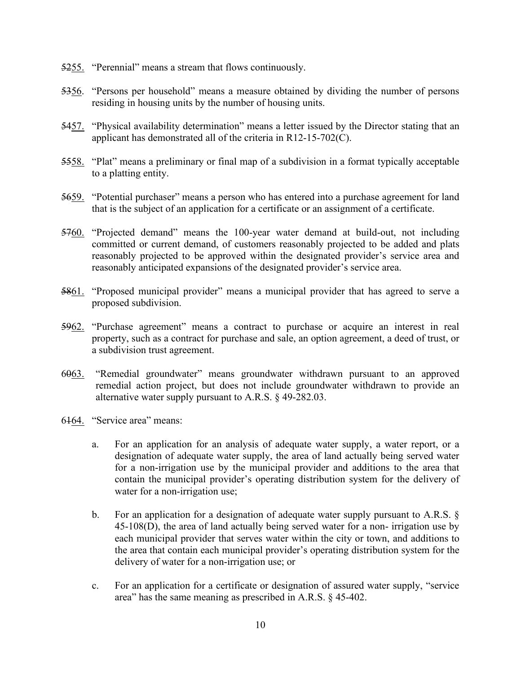- 5255. "Perennial" means a stream that flows continuously.
- 5356. "Persons per household" means a measure obtained by dividing the number of persons residing in housing units by the number of housing units.
- 5457. "Physical availability determination" means a letter issued by the Director stating that an applicant has demonstrated all of the criteria in R12-15-702(C).
- 5558. "Plat" means a preliminary or final map of a subdivision in a format typically acceptable to a platting entity.
- 5659. "Potential purchaser" means a person who has entered into a purchase agreement for land that is the subject of an application for a certificate or an assignment of a certificate.
- 5760. "Projected demand" means the 100-year water demand at build-out, not including committed or current demand, of customers reasonably projected to be added and plats reasonably projected to be approved within the designated provider's service area and reasonably anticipated expansions of the designated provider's service area.
- 5861. "Proposed municipal provider" means a municipal provider that has agreed to serve a proposed subdivision.
- 5962. "Purchase agreement" means a contract to purchase or acquire an interest in real property, such as a contract for purchase and sale, an option agreement, a deed of trust, or a subdivision trust agreement.
- 6063. "Remedial groundwater" means groundwater withdrawn pursuant to an approved remedial action project, but does not include groundwater withdrawn to provide an alternative water supply pursuant to A.R.S. § 49-282.03.
- 6164. "Service area" means:
	- a. For an application for an analysis of adequate water supply, a water report, or a designation of adequate water supply, the area of land actually being served water for a non-irrigation use by the municipal provider and additions to the area that contain the municipal provider's operating distribution system for the delivery of water for a non-irrigation use;
	- b. For an application for a designation of adequate water supply pursuant to A.R.S. § 45-108(D), the area of land actually being served water for a non- irrigation use by each municipal provider that serves water within the city or town, and additions to the area that contain each municipal provider's operating distribution system for the delivery of water for a non-irrigation use; or
	- c. For an application for a certificate or designation of assured water supply, "service area" has the same meaning as prescribed in A.R.S. § 45-402.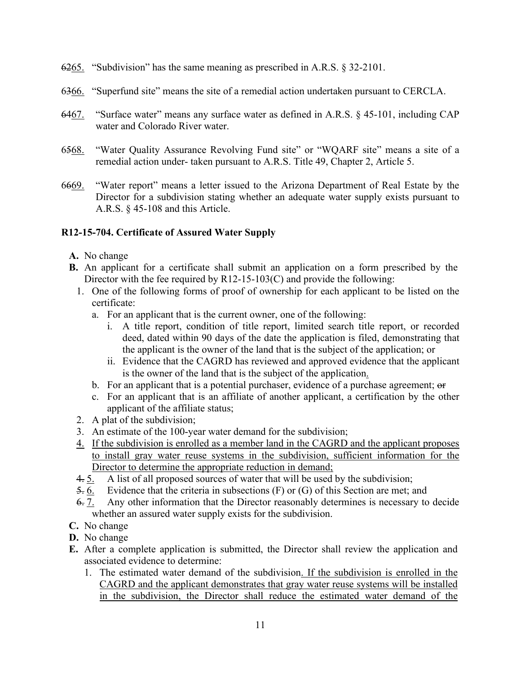- 6265. "Subdivision" has the same meaning as prescribed in A.R.S. § 32-2101.
- 6366. "Superfund site" means the site of a remedial action undertaken pursuant to CERCLA.
- 6467. "Surface water" means any surface water as defined in A.R.S. § 45-101, including CAP water and Colorado River water.
- 6568. "Water Quality Assurance Revolving Fund site" or "WQARF site" means a site of a remedial action under- taken pursuant to A.R.S. Title 49, Chapter 2, Article 5.
- 6669. "Water report" means a letter issued to the Arizona Department of Real Estate by the Director for a subdivision stating whether an adequate water supply exists pursuant to A.R.S. § 45-108 and this Article.

### **R12-15-704. Certificate of Assured Water Supply**

- **A.** No change
- **B.** An applicant for a certificate shall submit an application on a form prescribed by the Director with the fee required by R12-15-103(C) and provide the following:
	- 1. One of the following forms of proof of ownership for each applicant to be listed on the certificate:
		- a. For an applicant that is the current owner, one of the following:
			- i. A title report, condition of title report, limited search title report, or recorded deed, dated within 90 days of the date the application is filed, demonstrating that the applicant is the owner of the land that is the subject of the application; or
			- ii. Evidence that the CAGRD has reviewed and approved evidence that the applicant is the owner of the land that is the subject of the application.
		- b. For an applicant that is a potential purchaser, evidence of a purchase agreement;  $\Theta$
		- c. For an applicant that is an affiliate of another applicant, a certification by the other applicant of the affiliate status;
	- 2. A plat of the subdivision;
	- 3. An estimate of the 100-year water demand for the subdivision;
	- 4. If the subdivision is enrolled as a member land in the CAGRD and the applicant proposes to install gray water reuse systems in the subdivision, sufficient information for the Director to determine the appropriate reduction in demand;
	- 4. 5. A list of all proposed sources of water that will be used by the subdivision;
	- $5.6.$  Evidence that the criteria in subsections (F) or (G) of this Section are met; and
	- 6. 7. Any other information that the Director reasonably determines is necessary to decide whether an assured water supply exists for the subdivision.
- **C.** No change
- **D.** No change
- **E.** After a complete application is submitted, the Director shall review the application and associated evidence to determine:
	- 1. The estimated water demand of the subdivision. If the subdivision is enrolled in the CAGRD and the applicant demonstrates that gray water reuse systems will be installed in the subdivision, the Director shall reduce the estimated water demand of the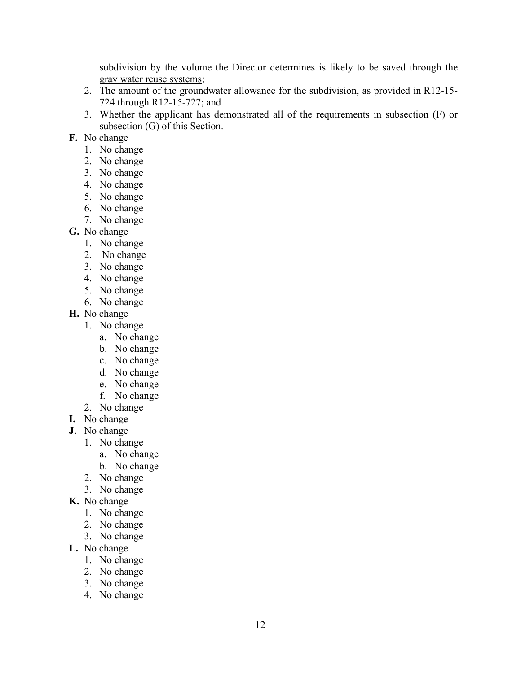subdivision by the volume the Director determines is likely to be saved through the gray water reuse systems;

- 2. The amount of the groundwater allowance for the subdivision, as provided in R12-15- 724 through R12-15-727; and
- 3. Whether the applicant has demonstrated all of the requirements in subsection (F) or subsection (G) of this Section.
- **F.** No change
	- 1. No change
	- 2. No change
	- 3. No change
	- 4. No change
	- 5. No change
	- 6. No change
	- 7. No change
- **G.** No change
	- 1. No change
	- 2. No change
	- 3. No change
	- 4. No change
	- 5. No change
	- 6. No change
- **H.** No change
	- 1. No change
		- a. No change
		- b. No change
		- c. No change
		- d. No change
		- e. No change
		- f. No change
	- 2. No change
- **I.** No change
- **J.** No change
	- 1. No change
		- a. No change
		- b. No change
	- 2. No change
	- 3. No change
- **K.** No change
	- 1. No change
	- 2. No change
	- 3. No change
- **L.** No change
	- 1. No change
	- 2. No change
	- 3. No change
	- 4. No change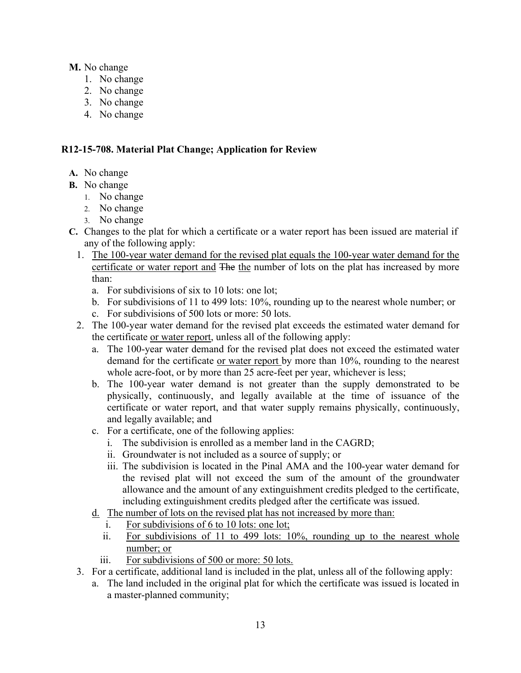### **M.** No change

- 1. No change
- 2. No change
- 3. No change
- 4. No change

# **R12-15-708. Material Plat Change; Application for Review**

- **A.** No change
- **B.** No change
	- 1. No change
	- 2. No change
	- 3. No change
- **C.** Changes to the plat for which a certificate or a water report has been issued are material if any of the following apply:
	- 1. The 100-year water demand for the revised plat equals the 100-year water demand for the certificate or water report and The the number of lots on the plat has increased by more than:
		- a. For subdivisions of six to 10 lots: one lot;
		- b. For subdivisions of 11 to 499 lots: 10%, rounding up to the nearest whole number; or
		- c. For subdivisions of 500 lots or more: 50 lots.
	- 2. The 100-year water demand for the revised plat exceeds the estimated water demand for the certificate or water report, unless all of the following apply:
		- a. The 100-year water demand for the revised plat does not exceed the estimated water demand for the certificate or water report by more than 10%, rounding to the nearest whole acre-foot, or by more than 25 acre-feet per year, whichever is less;
		- b. The 100-year water demand is not greater than the supply demonstrated to be physically, continuously, and legally available at the time of issuance of the certificate or water report, and that water supply remains physically, continuously, and legally available; and
		- c. For a certificate, one of the following applies:
			- i. The subdivision is enrolled as a member land in the CAGRD;
			- ii. Groundwater is not included as a source of supply; or
			- iii. The subdivision is located in the Pinal AMA and the 100-year water demand for the revised plat will not exceed the sum of the amount of the groundwater allowance and the amount of any extinguishment credits pledged to the certificate, including extinguishment credits pledged after the certificate was issued.
		- d. The number of lots on the revised plat has not increased by more than:
			- i. For subdivisions of 6 to 10 lots: one lot;
			- ii. For subdivisions of 11 to 499 lots: 10%, rounding up to the nearest whole number; or
			- iii. For subdivisions of 500 or more: 50 lots.
	- 3. For a certificate, additional land is included in the plat, unless all of the following apply:
		- a. The land included in the original plat for which the certificate was issued is located in a master-planned community;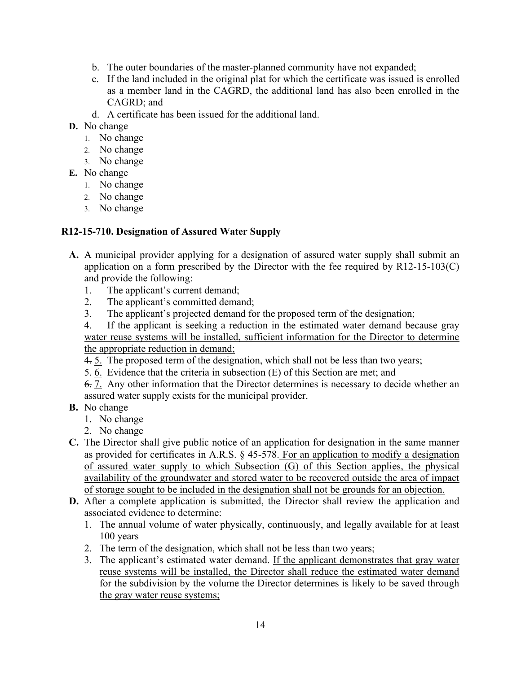- b. The outer boundaries of the master-planned community have not expanded;
- c. If the land included in the original plat for which the certificate was issued is enrolled as a member land in the CAGRD, the additional land has also been enrolled in the CAGRD; and
- d. A certificate has been issued for the additional land.
- **D.** No change
	- 1. No change
	- 2. No change
	- 3. No change
- **E.** No change
	- 1. No change
	- 2. No change
	- 3. No change

# **R12-15-710. Designation of Assured Water Supply**

- **A.** A municipal provider applying for a designation of assured water supply shall submit an application on a form prescribed by the Director with the fee required by R12-15-103(C) and provide the following:
	- 1. The applicant's current demand;
	- 2. The applicant's committed demand;
	- 3. The applicant's projected demand for the proposed term of the designation;

4. If the applicant is seeking a reduction in the estimated water demand because gray water reuse systems will be installed, sufficient information for the Director to determine the appropriate reduction in demand;

- 4. 5. The proposed term of the designation, which shall not be less than two years;
- 5. 6. Evidence that the criteria in subsection (E) of this Section are met; and

6. 7. Any other information that the Director determines is necessary to decide whether an assured water supply exists for the municipal provider.

- **B.** No change
	- 1. No change
	- 2. No change
- **C.** The Director shall give public notice of an application for designation in the same manner as provided for certificates in A.R.S. § 45-578. For an application to modify a designation of assured water supply to which Subsection (G) of this Section applies, the physical availability of the groundwater and stored water to be recovered outside the area of impact of storage sought to be included in the designation shall not be grounds for an objection.
- **D.** After a complete application is submitted, the Director shall review the application and associated evidence to determine:
	- 1. The annual volume of water physically, continuously, and legally available for at least 100 years
	- 2. The term of the designation, which shall not be less than two years;
	- 3. The applicant's estimated water demand. If the applicant demonstrates that gray water reuse systems will be installed, the Director shall reduce the estimated water demand for the subdivision by the volume the Director determines is likely to be saved through the gray water reuse systems;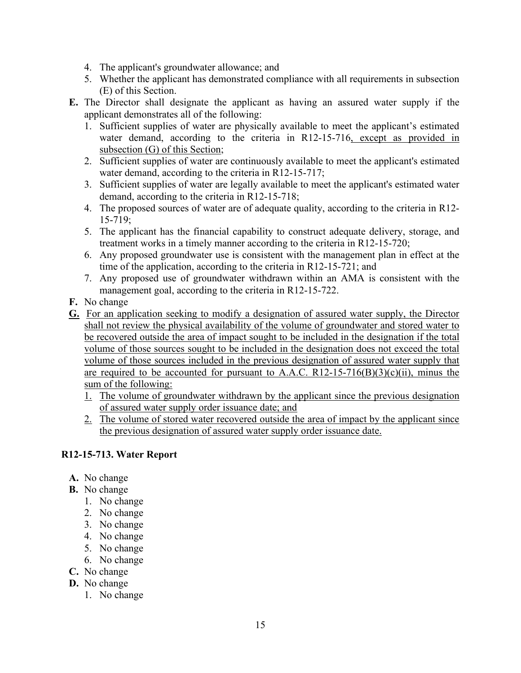- 4. The applicant's groundwater allowance; and
- 5. Whether the applicant has demonstrated compliance with all requirements in subsection (E) of this Section.
- **E.** The Director shall designate the applicant as having an assured water supply if the applicant demonstrates all of the following:
	- 1. Sufficient supplies of water are physically available to meet the applicant's estimated water demand, according to the criteria in R12-15-716, except as provided in subsection (G) of this Section;
	- 2. Sufficient supplies of water are continuously available to meet the applicant's estimated water demand, according to the criteria in R12-15-717;
	- 3. Sufficient supplies of water are legally available to meet the applicant's estimated water demand, according to the criteria in R12-15-718;
	- 4. The proposed sources of water are of adequate quality, according to the criteria in R12- 15-719;
	- 5. The applicant has the financial capability to construct adequate delivery, storage, and treatment works in a timely manner according to the criteria in R12-15-720;
	- 6. Any proposed groundwater use is consistent with the management plan in effect at the time of the application, according to the criteria in R12-15-721; and
	- 7. Any proposed use of groundwater withdrawn within an AMA is consistent with the management goal, according to the criteria in R12-15-722.
- **F.** No change
- **G.** For an application seeking to modify a designation of assured water supply, the Director shall not review the physical availability of the volume of groundwater and stored water to be recovered outside the area of impact sought to be included in the designation if the total volume of those sources sought to be included in the designation does not exceed the total volume of those sources included in the previous designation of assured water supply that are required to be accounted for pursuant to A.A.C. R12-15-716(B)(3)(c)(ii), minus the sum of the following:
	- 1. The volume of groundwater withdrawn by the applicant since the previous designation of assured water supply order issuance date; and
	- 2. The volume of stored water recovered outside the area of impact by the applicant since the previous designation of assured water supply order issuance date.

## **R12-15-713. Water Report**

- **A.** No change
- **B.** No change
	- 1. No change
	- 2. No change
	- 3. No change
	- 4. No change
	- 5. No change
	- 6. No change
- **C.** No change
- **D.** No change
	- 1. No change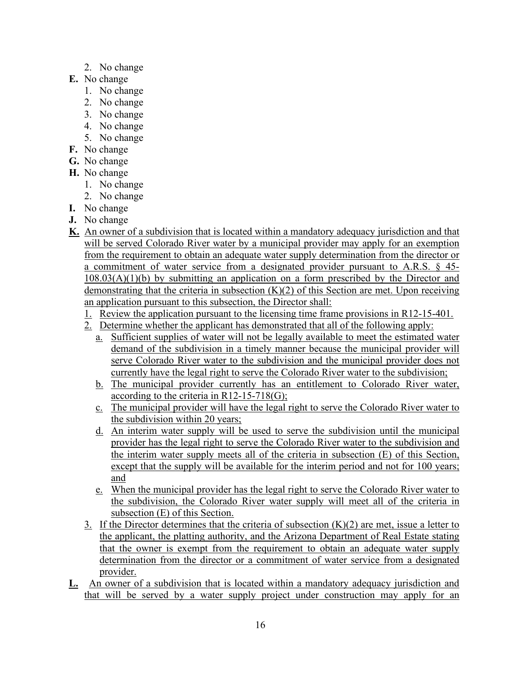- 2. No change
- **E.** No change
	- 1. No change
	- 2. No change
	- 3. No change
	- 4. No change
	- 5. No change
- **F.** No change
- **G.** No change
- **H.** No change
	- 1. No change
	- 2. No change
- **I.** No change
- **J.** No change
- **K.** An owner of a subdivision that is located within a mandatory adequacy jurisdiction and that will be served Colorado River water by a municipal provider may apply for an exemption from the requirement to obtain an adequate water supply determination from the director or a commitment of water service from a designated provider pursuant to A.R.S. § 45-  $108.03(A)(1)(b)$  by submitting an application on a form prescribed by the Director and demonstrating that the criteria in subsection  $(K)(2)$  of this Section are met. Upon receiving an application pursuant to this subsection, the Director shall:
	- 1. Review the application pursuant to the licensing time frame provisions in R12-15-401.
	- 2. Determine whether the applicant has demonstrated that all of the following apply:
		- a. Sufficient supplies of water will not be legally available to meet the estimated water demand of the subdivision in a timely manner because the municipal provider will serve Colorado River water to the subdivision and the municipal provider does not currently have the legal right to serve the Colorado River water to the subdivision;
		- b. The municipal provider currently has an entitlement to Colorado River water, according to the criteria in  $R12-15-718(G)$ ;
		- c. The municipal provider will have the legal right to serve the Colorado River water to the subdivision within 20 years;
		- d. An interim water supply will be used to serve the subdivision until the municipal provider has the legal right to serve the Colorado River water to the subdivision and the interim water supply meets all of the criteria in subsection (E) of this Section, except that the supply will be available for the interim period and not for 100 years; and
		- e. When the municipal provider has the legal right to serve the Colorado River water to the subdivision, the Colorado River water supply will meet all of the criteria in subsection (E) of this Section.
	- 3. If the Director determines that the criteria of subsection  $(K)(2)$  are met, issue a letter to the applicant, the platting authority, and the Arizona Department of Real Estate stating that the owner is exempt from the requirement to obtain an adequate water supply determination from the director or a commitment of water service from a designated provider.
- **L.** An owner of a subdivision that is located within a mandatory adequacy jurisdiction and that will be served by a water supply project under construction may apply for an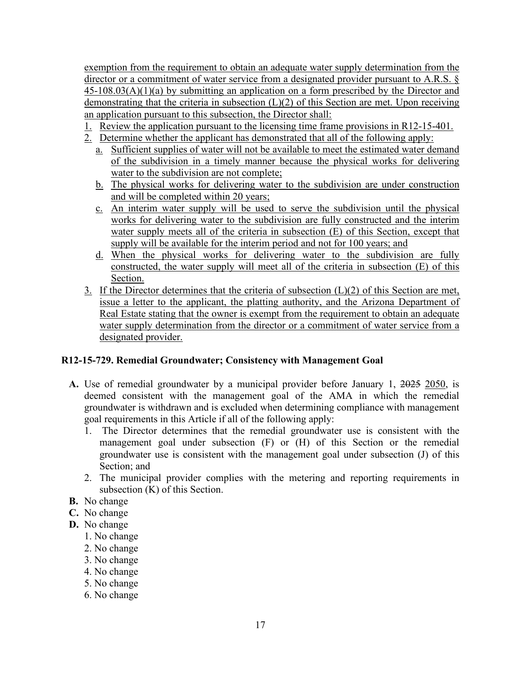exemption from the requirement to obtain an adequate water supply determination from the director or a commitment of water service from a designated provider pursuant to A.R.S. § 45-108.03(A)(1)(a) by submitting an application on a form prescribed by the Director and demonstrating that the criteria in subsection  $(L)(2)$  of this Section are met. Upon receiving an application pursuant to this subsection, the Director shall:

- 1. Review the application pursuant to the licensing time frame provisions in R12-15-401.
- 2. Determine whether the applicant has demonstrated that all of the following apply:
	- a. Sufficient supplies of water will not be available to meet the estimated water demand of the subdivision in a timely manner because the physical works for delivering water to the subdivision are not complete;
	- b. The physical works for delivering water to the subdivision are under construction and will be completed within 20 years;
	- c. An interim water supply will be used to serve the subdivision until the physical works for delivering water to the subdivision are fully constructed and the interim water supply meets all of the criteria in subsection (E) of this Section, except that supply will be available for the interim period and not for 100 years; and
	- d. When the physical works for delivering water to the subdivision are fully constructed, the water supply will meet all of the criteria in subsection (E) of this Section.
- 3. If the Director determines that the criteria of subsection  $(L)(2)$  of this Section are met, issue a letter to the applicant, the platting authority, and the Arizona Department of Real Estate stating that the owner is exempt from the requirement to obtain an adequate water supply determination from the director or a commitment of water service from a designated provider.

## **R12-15-729. Remedial Groundwater; Consistency with Management Goal**

- **A.** Use of remedial groundwater by a municipal provider before January 1, 2025 2050, is deemed consistent with the management goal of the AMA in which the remedial groundwater is withdrawn and is excluded when determining compliance with management goal requirements in this Article if all of the following apply:
	- 1. The Director determines that the remedial groundwater use is consistent with the management goal under subsection (F) or (H) of this Section or the remedial groundwater use is consistent with the management goal under subsection (J) of this Section; and
	- 2. The municipal provider complies with the metering and reporting requirements in subsection (K) of this Section.
- **B.** No change
- **C.** No change
- **D.** No change
	- 1. No change
	- 2. No change
	- 3. No change
	- 4. No change
	- 5. No change
	- 6. No change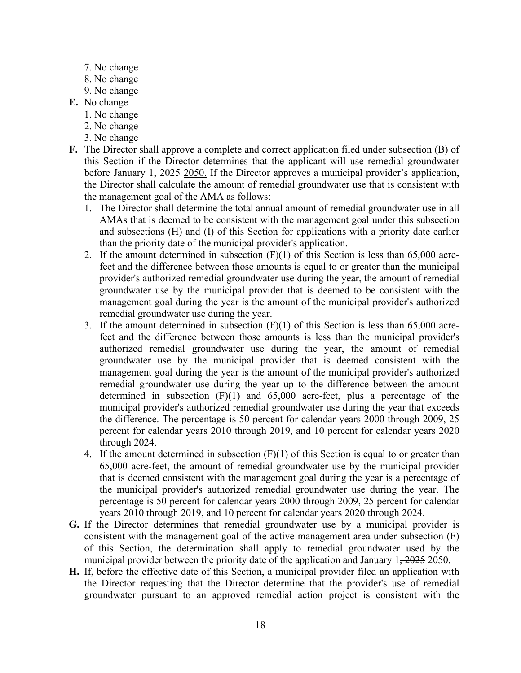- 7. No change
- 8. No change
- 9. No change
- **E.** No change
	- 1. No change
	- 2. No change
	- 3. No change
- **F.** The Director shall approve a complete and correct application filed under subsection (B) of this Section if the Director determines that the applicant will use remedial groundwater before January 1, 2025 2050. If the Director approves a municipal provider's application, the Director shall calculate the amount of remedial groundwater use that is consistent with the management goal of the AMA as follows:
	- 1. The Director shall determine the total annual amount of remedial groundwater use in all AMAs that is deemed to be consistent with the management goal under this subsection and subsections (H) and (I) of this Section for applications with a priority date earlier than the priority date of the municipal provider's application.
	- 2. If the amount determined in subsection (F)(1) of this Section is less than 65,000 acrefeet and the difference between those amounts is equal to or greater than the municipal provider's authorized remedial groundwater use during the year, the amount of remedial groundwater use by the municipal provider that is deemed to be consistent with the management goal during the year is the amount of the municipal provider's authorized remedial groundwater use during the year.
	- 3. If the amount determined in subsection (F)(1) of this Section is less than 65,000 acrefeet and the difference between those amounts is less than the municipal provider's authorized remedial groundwater use during the year, the amount of remedial groundwater use by the municipal provider that is deemed consistent with the management goal during the year is the amount of the municipal provider's authorized remedial groundwater use during the year up to the difference between the amount determined in subsection (F)(1) and 65,000 acre-feet, plus a percentage of the municipal provider's authorized remedial groundwater use during the year that exceeds the difference. The percentage is 50 percent for calendar years 2000 through 2009, 25 percent for calendar years 2010 through 2019, and 10 percent for calendar years 2020 through 2024.
	- 4. If the amount determined in subsection  $(F)(1)$  of this Section is equal to or greater than 65,000 acre-feet, the amount of remedial groundwater use by the municipal provider that is deemed consistent with the management goal during the year is a percentage of the municipal provider's authorized remedial groundwater use during the year. The percentage is 50 percent for calendar years 2000 through 2009, 25 percent for calendar years 2010 through 2019, and 10 percent for calendar years 2020 through 2024.
- **G.** If the Director determines that remedial groundwater use by a municipal provider is consistent with the management goal of the active management area under subsection (F) of this Section, the determination shall apply to remedial groundwater used by the municipal provider between the priority date of the application and January  $1,2025$  2050.
- **H.** If, before the effective date of this Section, a municipal provider filed an application with the Director requesting that the Director determine that the provider's use of remedial groundwater pursuant to an approved remedial action project is consistent with the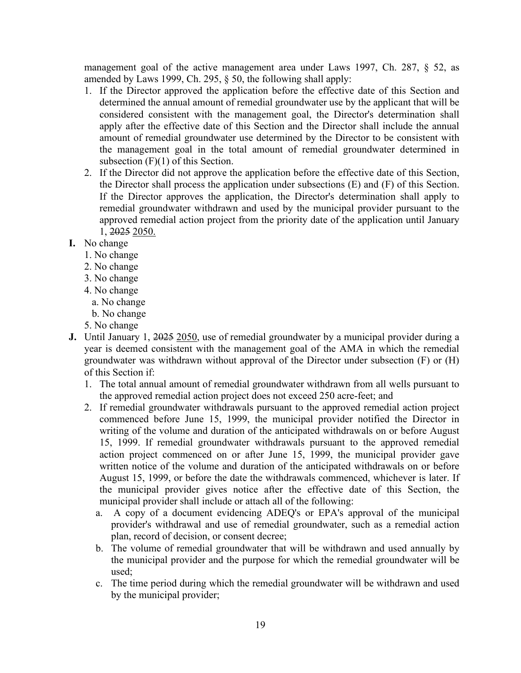management goal of the active management area under Laws 1997, Ch. 287, § 52, as amended by Laws 1999, Ch. 295, § 50, the following shall apply:

- 1. If the Director approved the application before the effective date of this Section and determined the annual amount of remedial groundwater use by the applicant that will be considered consistent with the management goal, the Director's determination shall apply after the effective date of this Section and the Director shall include the annual amount of remedial groundwater use determined by the Director to be consistent with the management goal in the total amount of remedial groundwater determined in subsection  $(F)(1)$  of this Section.
- 2. If the Director did not approve the application before the effective date of this Section, the Director shall process the application under subsections (E) and (F) of this Section. If the Director approves the application, the Director's determination shall apply to remedial groundwater withdrawn and used by the municipal provider pursuant to the approved remedial action project from the priority date of the application until January 1, 2025 2050.
- **I.** No change
	- 1. No change
	- 2. No change
	- 3. No change
	- 4. No change
		- a. No change
		- b. No change
	- 5. No change
- **J.** Until January 1, 2025 2050, use of remedial groundwater by a municipal provider during a year is deemed consistent with the management goal of the AMA in which the remedial groundwater was withdrawn without approval of the Director under subsection (F) or (H) of this Section if:
	- 1. The total annual amount of remedial groundwater withdrawn from all wells pursuant to the approved remedial action project does not exceed 250 acre-feet; and
	- 2. If remedial groundwater withdrawals pursuant to the approved remedial action project commenced before June 15, 1999, the municipal provider notified the Director in writing of the volume and duration of the anticipated withdrawals on or before August 15, 1999. If remedial groundwater withdrawals pursuant to the approved remedial action project commenced on or after June 15, 1999, the municipal provider gave written notice of the volume and duration of the anticipated withdrawals on or before August 15, 1999, or before the date the withdrawals commenced, whichever is later. If the municipal provider gives notice after the effective date of this Section, the municipal provider shall include or attach all of the following:
		- a. A copy of a document evidencing ADEQ's or EPA's approval of the municipal provider's withdrawal and use of remedial groundwater, such as a remedial action plan, record of decision, or consent decree;
		- b. The volume of remedial groundwater that will be withdrawn and used annually by the municipal provider and the purpose for which the remedial groundwater will be used;
		- c. The time period during which the remedial groundwater will be withdrawn and used by the municipal provider;